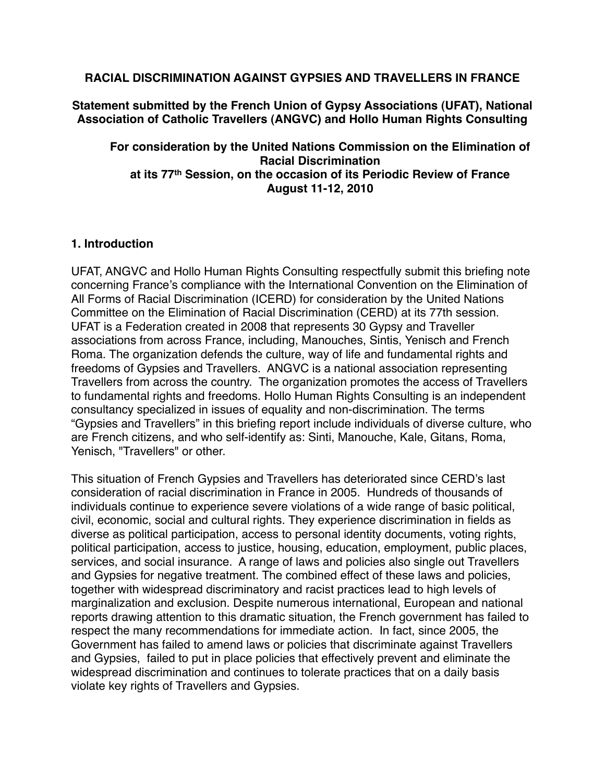## **RACIAL DISCRIMINATION AGAINST GYPSIES AND TRAVELLERS IN FRANCE**

**Statement submitted by the French Union of Gypsy Associations (UFAT), National Association of Catholic Travellers (ANGVC) and Hollo Human Rights Consulting**

**For consideration by the United Nations Commission on the Elimination of Racial Discrimination at its 77th Session, on the occasion of its Periodic Review of France August 11-12, 2010**

## **1. Introduction**

UFAT, ANGVC and Hollo Human Rights Consulting respectfully submit this briefing note concerning France's compliance with the International Convention on the Elimination of All Forms of Racial Discrimination (ICERD) for consideration by the United Nations Committee on the Elimination of Racial Discrimination (CERD) at its 77th session. UFAT is a Federation created in 2008 that represents 30 Gypsy and Traveller associations from across France, including, Manouches, Sintis, Yenisch and French Roma. The organization defends the culture, way of life and fundamental rights and freedoms of Gypsies and Travellers. ANGVC is a national association representing Travellers from across the country. The organization promotes the access of Travellers to fundamental rights and freedoms. Hollo Human Rights Consulting is an independent consultancy specialized in issues of equality and non-discrimination. The terms "Gypsies and Travellers" in this briefing report include individuals of diverse culture, who are French citizens, and who self-identify as: Sinti, Manouche, Kale, Gitans, Roma, Yenisch, "Travellers" or other.

This situation of French Gypsies and Travellers has deteriorated since CERD's last consideration of racial discrimination in France in 2005. Hundreds of thousands of individuals continue to experience severe violations of a wide range of basic political, civil, economic, social and cultural rights. They experience discrimination in fields as diverse as political participation, access to personal identity documents, voting rights, political participation, access to justice, housing, education, employment, public places, services, and social insurance. A range of laws and policies also single out Travellers and Gypsies for negative treatment. The combined effect of these laws and policies, together with widespread discriminatory and racist practices lead to high levels of marginalization and exclusion. Despite numerous international, European and national reports drawing attention to this dramatic situation, the French government has failed to respect the many recommendations for immediate action. In fact, since 2005, the Government has failed to amend laws or policies that discriminate against Travellers and Gypsies, failed to put in place policies that effectively prevent and eliminate the widespread discrimination and continues to tolerate practices that on a daily basis violate key rights of Travellers and Gypsies.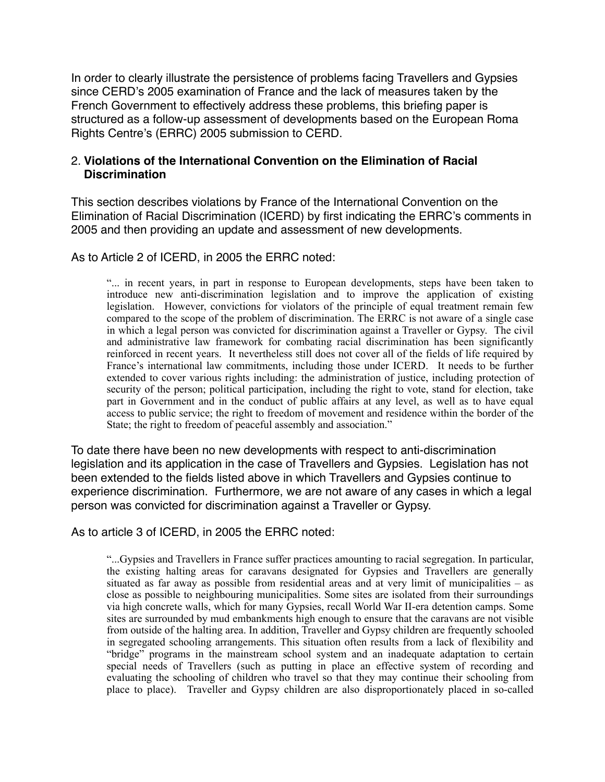In order to clearly illustrate the persistence of problems facing Travellers and Gypsies since CERD's 2005 examination of France and the lack of measures taken by the French Government to effectively address these problems, this briefing paper is structured as a follow-up assessment of developments based on the European Roma Rights Centre's (ERRC) 2005 submission to CERD.

# 2. **Violations of the International Convention on the Elimination of Racial Discrimination**

This section describes violations by France of the International Convention on the Elimination of Racial Discrimination (ICERD) by first indicating the ERRC's comments in 2005 and then providing an update and assessment of new developments.

As to Article 2 of ICERD, in 2005 the ERRC noted:

 "... in recent years, in part in response to European developments, steps have been taken to introduce new anti-discrimination legislation and to improve the application of existing legislation. However, convictions for violators of the principle of equal treatment remain few compared to the scope of the problem of discrimination. The ERRC is not aware of a single case in which a legal person was convicted for discrimination against a Traveller or Gypsy. The civil and administrative law framework for combating racial discrimination has been significantly reinforced in recent years. It nevertheless still does not cover all of the fields of life required by France's international law commitments, including those under ICERD. It needs to be further extended to cover various rights including: the administration of justice, including protection of security of the person; political participation, including the right to vote, stand for election, take part in Government and in the conduct of public affairs at any level, as well as to have equal access to public service; the right to freedom of movement and residence within the border of the State; the right to freedom of peaceful assembly and association."

To date there have been no new developments with respect to anti-discrimination legislation and its application in the case of Travellers and Gypsies. Legislation has not been extended to the fields listed above in which Travellers and Gypsies continue to experience discrimination. Furthermore, we are not aware of any cases in which a legal person was convicted for discrimination against a Traveller or Gypsy.

As to article 3 of ICERD, in 2005 the ERRC noted:

 "...Gypsies and Travellers in France suffer practices amounting to racial segregation. In particular, the existing halting areas for caravans designated for Gypsies and Travellers are generally situated as far away as possible from residential areas and at very limit of municipalities – as close as possible to neighbouring municipalities. Some sites are isolated from their surroundings via high concrete walls, which for many Gypsies, recall World War II-era detention camps. Some sites are surrounded by mud embankments high enough to ensure that the caravans are not visible from outside of the halting area. In addition, Traveller and Gypsy children are frequently schooled in segregated schooling arrangements. This situation often results from a lack of flexibility and "bridge" programs in the mainstream school system and an inadequate adaptation to certain special needs of Travellers (such as putting in place an effective system of recording and evaluating the schooling of children who travel so that they may continue their schooling from place to place). Traveller and Gypsy children are also disproportionately placed in so-called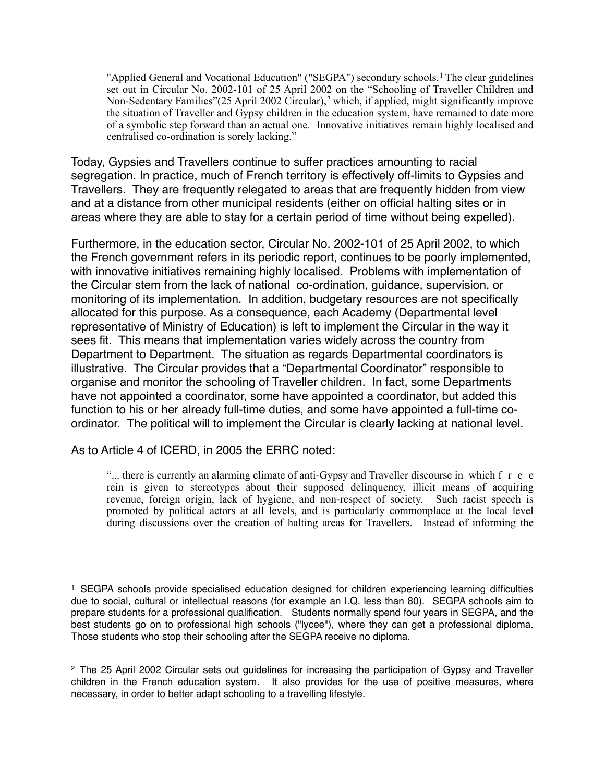"Applied General and Vocational Education" ("SEGPA") secondary schools.<sup>[1](#page-2-0)</sup> The clear guidelines set out in Circular No. 2002-101 of 25 April 2002 on the "Schooling of Traveller Children and Non-Sedentary Families" ([2](#page-2-1)5 April 2002 Circular), <sup>2</sup> which, if applied, might significantly improve the situation of Traveller and Gypsy children in the education system, have remained to date more of a symbolic step forward than an actual one. Innovative initiatives remain highly localised and centralised co-ordination is sorely lacking."

Today, Gypsies and Travellers continue to suffer practices amounting to racial segregation. In practice, much of French territory is effectively off-limits to Gypsies and Travellers. They are frequently relegated to areas that are frequently hidden from view and at a distance from other municipal residents (either on official halting sites or in areas where they are able to stay for a certain period of time without being expelled).

Furthermore, in the education sector, Circular No. 2002-101 of 25 April 2002, to which the French government refers in its periodic report, continues to be poorly implemented, with innovative initiatives remaining highly localised. Problems with implementation of the Circular stem from the lack of national co-ordination, guidance, supervision, or monitoring of its implementation. In addition, budgetary resources are not specifically allocated for this purpose. As a consequence, each Academy (Departmental level representative of Ministry of Education) is left to implement the Circular in the way it sees fit. This means that implementation varies widely across the country from Department to Department. The situation as regards Departmental coordinators is illustrative. The Circular provides that a "Departmental Coordinator" responsible to organise and monitor the schooling of Traveller children. In fact, some Departments have not appointed a coordinator, some have appointed a coordinator, but added this function to his or her already full-time duties, and some have appointed a full-time coordinator. The political will to implement the Circular is clearly lacking at national level.

As to Article 4 of ICERD, in 2005 the ERRC noted:

"... there is currently an alarming climate of anti-Gypsy and Traveller discourse in which f r e e rein is given to stereotypes about their supposed delinquency, illicit means of acquiring revenue, foreign origin, lack of hygiene, and non-respect of society. Such racist speech is promoted by political actors at all levels, and is particularly commonplace at the local level during discussions over the creation of halting areas for Travellers. Instead of informing the

<span id="page-2-0"></span><sup>1</sup> SEGPA schools provide specialised education designed for children experiencing learning difficulties due to social, cultural or intellectual reasons (for example an I.Q. less than 80). SEGPA schools aim to prepare students for a professional qualification. Students normally spend four years in SEGPA, and the best students go on to professional high schools ("lycee"), where they can get a professional diploma. Those students who stop their schooling after the SEGPA receive no diploma.

<span id="page-2-1"></span><sup>2</sup> The 25 April 2002 Circular sets out guidelines for increasing the participation of Gypsy and Traveller children in the French education system. It also provides for the use of positive measures, where necessary, in order to better adapt schooling to a travelling lifestyle.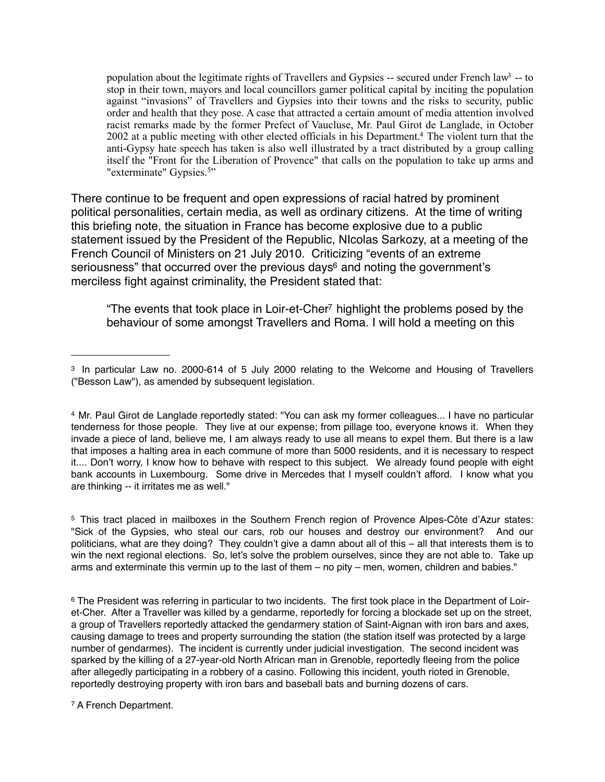population about the legitimate rights of Travellers and Gypsies  $-$  secured under French law<sup>3</sup>  $-$  to stop in their town, mayors and local councillors garner political capital by inciting the population against "invasions" of Travellers and Gypsies into their towns and the risks to security, public order and health that they pose. A case that attracted a certain amount of media attention involved racist remarks made by the former Prefect of Vaucluse, Mr. Paul Girot de Langlade, in October 2002 at a public meeting with other elected officials in his Department[.4](#page-3-1) The violent turn that the anti-Gypsy hate speech has taken is also well illustrated by a tract distributed by a group calling itself the "Front for the Liberation of Provence" that calls on the population to take up arms and "exterminate" Gypsies.<sup>[5"](#page-3-2)</sup>

There continue to be frequent and open expressions of racial hatred by prominent political personalities, certain media, as well as ordinary citizens. At the time of writing this briefing note, the situation in France has become explosive due to a public statement issued by the President of the Republic, NIcolas Sarkozy, at a meeting of the French Council of Ministers on 21 July 2010. Criticizing "events of an extreme seriousness" that occurred over the previous days<sup>6</sup> and noting the government's merciless fight against criminality, the President stated that:

"The events that took place in Loir-et-Che[r7](#page-3-4) highlight the problems posed by the behaviour of some amongst Travellers and Roma. I will hold a meeting on this

<span id="page-3-2"></span>5 This tract placed in mailboxes in the Southern French region of Provence Alpes-Côte d'Azur states: "Sick of the Gypsies, who steal our cars, rob our houses and destroy our environment? And our politicians, what are they doing? They couldn't give a damn about all of this – all that interests them is to win the next regional elections. So, let's solve the problem ourselves, since they are not able to. Take up arms and exterminate this vermin up to the last of them – no pity – men, women, children and babies."

<span id="page-3-4"></span>7 A French Department.

<span id="page-3-0"></span><sup>3</sup> In particular Law no. 2000-614 of 5 July 2000 relating to the Welcome and Housing of Travellers ("Besson Law"), as amended by subsequent legislation.

<span id="page-3-1"></span><sup>4</sup> Mr. Paul Girot de Langlade reportedly stated: "You can ask my former colleagues... I have no particular tenderness for those people. They live at our expense; from pillage too, everyone knows it. When they invade a piece of land, believe me, I am always ready to use all means to expel them. But there is a law that imposes a halting area in each commune of more than 5000 residents, and it is necessary to respect it.... Don't worry, I know how to behave with respect to this subject. We already found people with eight bank accounts in Luxembourg. Some drive in Mercedes that I myself couldn't afford. I know what you are thinking -- it irritates me as well."

<span id="page-3-3"></span><sup>&</sup>lt;sup>6</sup> The President was referring in particular to two incidents. The first took place in the Department of Loiret-Cher. After a Traveller was killed by a gendarme, reportedly for forcing a blockade set up on the street, a group of Travellers reportedly attacked the gendarmery station of Saint-Aignan with iron bars and axes, causing damage to trees and property surrounding the station (the station itself was protected by a large number of gendarmes). The incident is currently under judicial investigation. The second incident was sparked by the killing of a 27-year-old North African man in Grenoble, reportedly fleeing from the police after allegedly participating in a robbery of a casino. Following this incident, youth rioted in Grenoble, reportedly destroying property with iron bars and baseball bats and burning dozens of cars.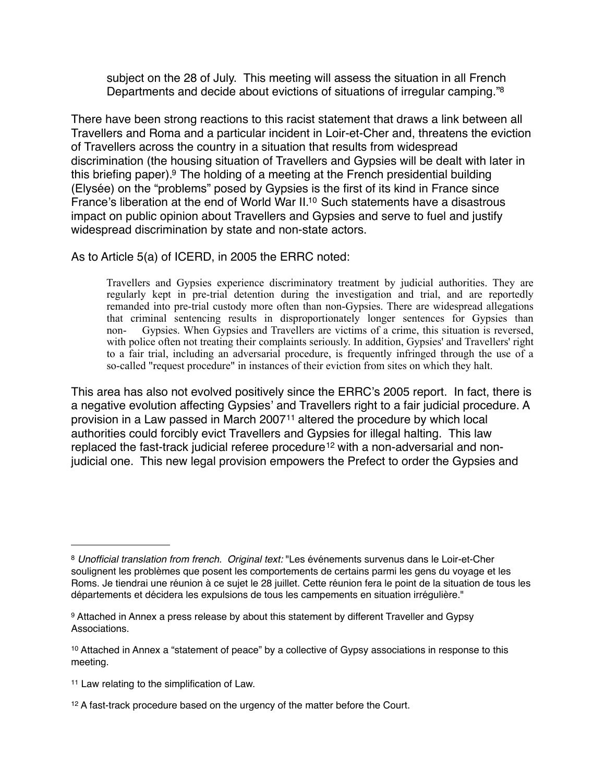subject on the 28 of July. This meeting will assess the situation in all French Departments and decide about evictions of situations of irregular camping.["8](#page-4-0)

There have been strong reactions to this racist statement that draws a link between all Travellers and Roma and a particular incident in Loir-et-Cher and, threatens the eviction of Travellers across the country in a situation that results from widespread discrimination (the housing situation of Travellers and Gypsies will be dealt with later in this briefing paper).<sup>9</sup> The holding of a meeting at the French presidential building (Elysée) on the "problems" posed by Gypsies is the first of its kind in France since France's liberation at the end of World War II[.10](#page-4-2) Such statements have a disastrous impact on public opinion about Travellers and Gypsies and serve to fuel and justify widespread discrimination by state and non-state actors.

As to Article 5(a) of ICERD, in 2005 the ERRC noted:

 Travellers and Gypsies experience discriminatory treatment by judicial authorities. They are regularly kept in pre-trial detention during the investigation and trial, and are reportedly remanded into pre-trial custody more often than non-Gypsies. There are widespread allegations that criminal sentencing results in disproportionately longer sentences for Gypsies than non- Gypsies. When Gypsies and Travellers are victims of a crime, this situation is reversed, with police often not treating their complaints seriously. In addition, Gypsies' and Travellers' right to a fair trial, including an adversarial procedure, is frequently infringed through the use of a so-called "request procedure" in instances of their eviction from sites on which they halt.

This area has also not evolved positively since the ERRC's 2005 report. In fact, there is a negative evolution affecting Gypsies' and Travellers right to a fair judicial procedure. A provision in a Law passed in March 2007[11](#page-4-3) altered the procedure by which local authorities could forcibly evict Travellers and Gypsies for illegal halting. This law replaced the fast-track judicial referee procedure<sup>[12](#page-4-4)</sup> with a non-adversarial and nonjudicial one. This new legal provision empowers the Prefect to order the Gypsies and

<span id="page-4-3"></span>11 Law relating to the simplification of Law.

<span id="page-4-0"></span><sup>8</sup> *Unofficial translation from french. Original text:* "Les événements survenus dans le Loir-et-Cher soulignent les problèmes que posent les comportements de certains parmi les gens du voyage et les Roms. Je tiendrai une réunion à ce sujet le 28 juillet. Cette réunion fera le point de la situation de tous les départements et décidera les expulsions de tous les campements en situation irrégulière."

<span id="page-4-1"></span><sup>9</sup> Attached in Annex a press release by about this statement by different Traveller and Gypsy Associations.

<span id="page-4-2"></span><sup>&</sup>lt;sup>10</sup> Attached in Annex a "statement of peace" by a collective of Gypsy associations in response to this meeting.

<span id="page-4-4"></span><sup>&</sup>lt;sup>12</sup> A fast-track procedure based on the urgency of the matter before the Court.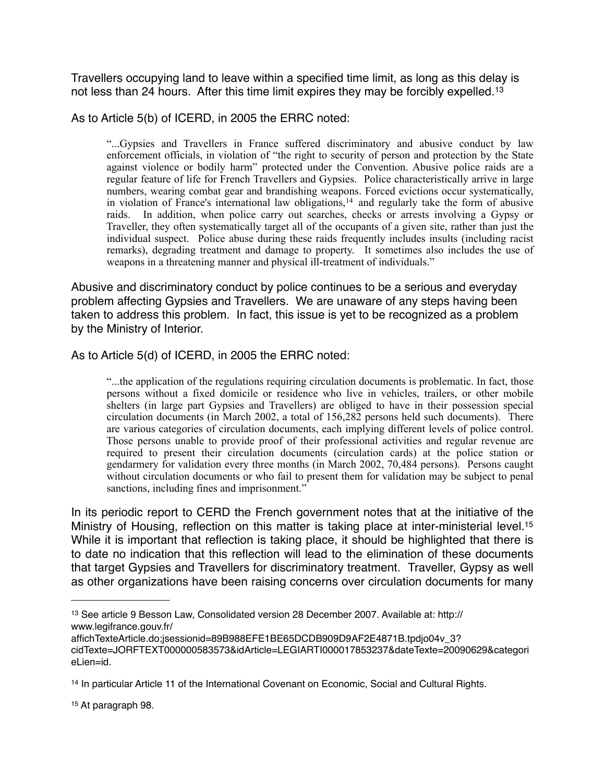Travellers occupying land to leave within a specified time limit, as long as this delay is not less than 24 hours. After this time limit expires they may be forcibly expelled.<sup>[13](#page-5-0)</sup>

As to Article 5(b) of ICERD, in 2005 the ERRC noted:

 "...Gypsies and Travellers in France suffered discriminatory and abusive conduct by law enforcement officials, in violation of "the right to security of person and protection by the State against violence or bodily harm" protected under the Convention. Abusive police raids are a regular feature of life for French Travellers and Gypsies. Police characteristically arrive in large numbers, wearing combat gear and brandishing weapons. Forced evictions occur systematically, in violation of France's international law obligations,[14](#page-5-1) and regularly take the form of abusive raids. In addition, when police carry out searches, checks or arrests involving a Gypsy or Traveller, they often systematically target all of the occupants of a given site, rather than just the individual suspect. Police abuse during these raids frequently includes insults (including racist remarks), degrading treatment and damage to property. It sometimes also includes the use of weapons in a threatening manner and physical ill-treatment of individuals."

Abusive and discriminatory conduct by police continues to be a serious and everyday problem affecting Gypsies and Travellers. We are unaware of any steps having been taken to address this problem. In fact, this issue is yet to be recognized as a problem by the Ministry of Interior.

As to Article 5(d) of ICERD, in 2005 the ERRC noted:

 "...the application of the regulations requiring circulation documents is problematic. In fact, those persons without a fixed domicile or residence who live in vehicles, trailers, or other mobile shelters (in large part Gypsies and Travellers) are obliged to have in their possession special circulation documents (in March 2002, a total of 156,282 persons held such documents). There are various categories of circulation documents, each implying different levels of police control. Those persons unable to provide proof of their professional activities and regular revenue are required to present their circulation documents (circulation cards) at the police station or gendarmery for validation every three months (in March 2002, 70,484 persons). Persons caught without circulation documents or who fail to present them for validation may be subject to penal sanctions, including fines and imprisonment."

In its periodic report to CERD the French government notes that at the initiative of the Ministry of Housing, reflection on this matter is taking place at inter-ministerial level.<sup>15</sup> While it is important that reflection is taking place, it should be highlighted that there is to date no indication that this reflection will lead to the elimination of these documents that target Gypsies and Travellers for discriminatory treatment. Traveller, Gypsy as well as other organizations have been raising concerns over circulation documents for many

<span id="page-5-2"></span>15 At paragraph 98.

<span id="page-5-0"></span><sup>13</sup> See article 9 Besson Law, Consolidated version 28 December 2007. Available at: http:// www.legifrance.gouv.fr/

affichTexteArticle.do;jsessionid=89B988EFE1BE65DCDB909D9AF2E4871B.tpdjo04v\_3? cidTexte=JORFTEXT000000583573&idArticle=LEGIARTI000017853237&dateTexte=20090629&categori eLien=id.

<span id="page-5-1"></span><sup>14</sup> In particular Article 11 of the International Covenant on Economic, Social and Cultural Rights.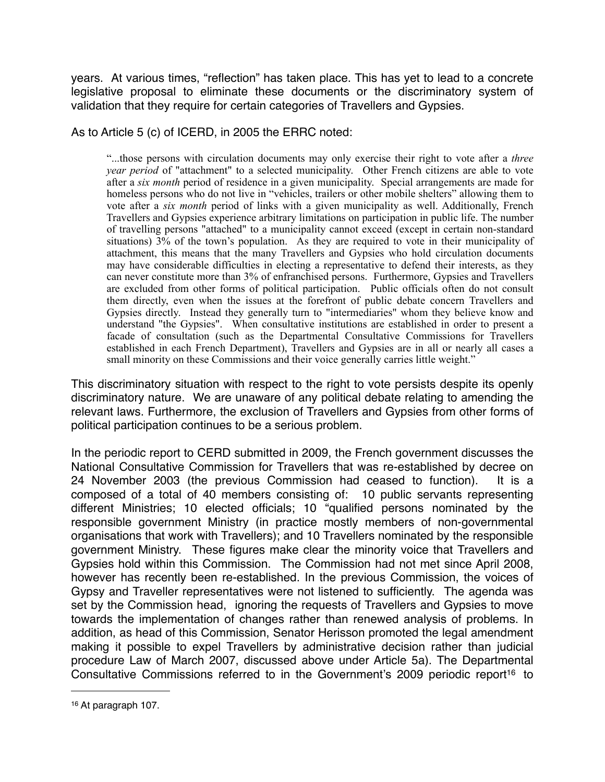years. At various times, "reflection" has taken place. This has yet to lead to a concrete legislative proposal to eliminate these documents or the discriminatory system of validation that they require for certain categories of Travellers and Gypsies.

As to Article 5 (c) of ICERD, in 2005 the ERRC noted:

 "...those persons with circulation documents may only exercise their right to vote after a *three year period* of "attachment" to a selected municipality. Other French citizens are able to vote after a *six month* period of residence in a given municipality. Special arrangements are made for homeless persons who do not live in "vehicles, trailers or other mobile shelters" allowing them to vote after a *six month* period of links with a given municipality as well. Additionally, French Travellers and Gypsies experience arbitrary limitations on participation in public life. The number of travelling persons "attached" to a municipality cannot exceed (except in certain non-standard situations) 3% of the town's population. As they are required to vote in their municipality of attachment, this means that the many Travellers and Gypsies who hold circulation documents may have considerable difficulties in electing a representative to defend their interests, as they can never constitute more than 3% of enfranchised persons. Furthermore, Gypsies and Travellers are excluded from other forms of political participation. Public officials often do not consult them directly, even when the issues at the forefront of public debate concern Travellers and Gypsies directly. Instead they generally turn to "intermediaries" whom they believe know and understand "the Gypsies". When consultative institutions are established in order to present a facade of consultation (such as the Departmental Consultative Commissions for Travellers established in each French Department), Travellers and Gypsies are in all or nearly all cases a small minority on these Commissions and their voice generally carries little weight."

This discriminatory situation with respect to the right to vote persists despite its openly discriminatory nature. We are unaware of any political debate relating to amending the relevant laws. Furthermore, the exclusion of Travellers and Gypsies from other forms of political participation continues to be a serious problem.

In the periodic report to CERD submitted in 2009, the French government discusses the National Consultative Commission for Travellers that was re-established by decree on 24 November 2003 (the previous Commission had ceased to function). It is a composed of a total of 40 members consisting of: 10 public servants representing different Ministries; 10 elected officials; 10 "qualified persons nominated by the responsible government Ministry (in practice mostly members of non-governmental organisations that work with Travellers); and 10 Travellers nominated by the responsible government Ministry. These figures make clear the minority voice that Travellers and Gypsies hold within this Commission. The Commission had not met since April 2008, however has recently been re-established. In the previous Commission, the voices of Gypsy and Traveller representatives were not listened to sufficiently. The agenda was set by the Commission head, ignoring the requests of Travellers and Gypsies to move towards the implementation of changes rather than renewed analysis of problems. In addition, as head of this Commission, Senator Herisson promoted the legal amendment making it possible to expel Travellers by administrative decision rather than judicial procedure Law of March 2007, discussed above under Article 5a). The Departmental Consultative Commissions referred to in the Government's 2009 periodic report<sup>16</sup> to

<span id="page-6-0"></span><sup>16</sup> At paragraph 107.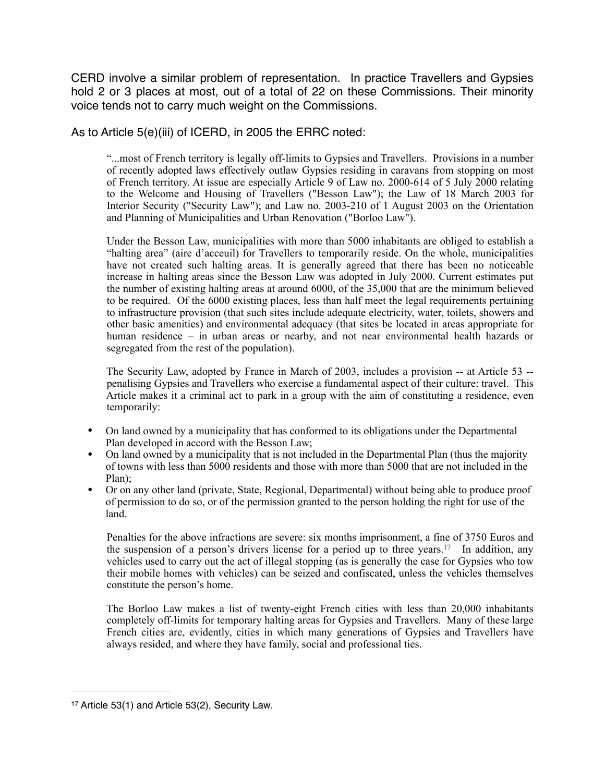CERD involve a similar problem of representation. In practice Travellers and Gypsies hold 2 or 3 places at most, out of a total of 22 on these Commissions. Their minority voice tends not to carry much weight on the Commissions.

As to Article 5(e)(iii) of ICERD, in 2005 the ERRC noted:

 "...most of French territory is legally off-limits to Gypsies and Travellers. Provisions in a number of recently adopted laws effectively outlaw Gypsies residing in caravans from stopping on most of French territory. At issue are especially Article 9 of Law no. 2000-614 of 5 July 2000 relating to the Welcome and Housing of Travellers ("Besson Law"); the Law of 18 March 2003 for Interior Security ("Security Law"); and Law no. 2003-210 of 1 August 2003 on the Orientation and Planning of Municipalities and Urban Renovation ("Borloo Law").

 Under the Besson Law, municipalities with more than 5000 inhabitants are obliged to establish a "halting area" (aire d'acceuil) for Travellers to temporarily reside. On the whole, municipalities have not created such halting areas. It is generally agreed that there has been no noticeable increase in halting areas since the Besson Law was adopted in July 2000. Current estimates put the number of existing halting areas at around 6000, of the 35,000 that are the minimum believed to be required. Of the 6000 existing places, less than half meet the legal requirements pertaining to infrastructure provision (that such sites include adequate electricity, water, toilets, showers and other basic amenities) and environmental adequacy (that sites be located in areas appropriate for human residence – in urban areas or nearby, and not near environmental health hazards or segregated from the rest of the population).

 The Security Law, adopted by France in March of 2003, includes a provision -- at Article 53 - penalising Gypsies and Travellers who exercise a fundamental aspect of their culture: travel. This Article makes it a criminal act to park in a group with the aim of constituting a residence, even temporarily:

- On land owned by a municipality that has conformed to its obligations under the Departmental Plan developed in accord with the Besson Law;
- On land owned by a municipality that is not included in the Departmental Plan (thus the majority of towns with less than 5000 residents and those with more than 5000 that are not included in the Plan);
- Or on any other land (private, State, Regional, Departmental) without being able to produce proof of permission to do so, or of the permission granted to the person holding the right for use of the land.

 Penalties for the above infractions are severe: six months imprisonment, a fine of 3750 Euros and the suspension of a person's drivers license for a period up to three years.<sup>17</sup> In addition, any vehicles used to carry out the act of illegal stopping (as is generally the case for Gypsies who tow their mobile homes with vehicles) can be seized and confiscated, unless the vehicles themselves constitute the person's home.

 The Borloo Law makes a list of twenty-eight French cities with less than 20,000 inhabitants completely off-limits for temporary halting areas for Gypsies and Travellers. Many of these large French cities are, evidently, cities in which many generations of Gypsies and Travellers have always resided, and where they have family, social and professional ties.

<span id="page-7-0"></span><sup>17</sup> Article 53(1) and Article 53(2), Security Law.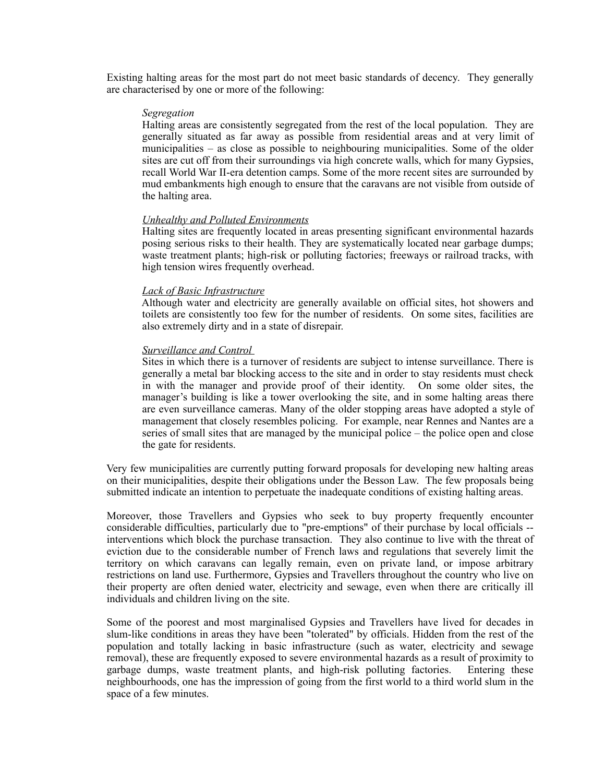Existing halting areas for the most part do not meet basic standards of decency. They generally are characterised by one or more of the following:

#### *Segregation*

 Halting areas are consistently segregated from the rest of the local population. They are generally situated as far away as possible from residential areas and at very limit of municipalities – as close as possible to neighbouring municipalities. Some of the older sites are cut off from their surroundings via high concrete walls, which for many Gypsies, recall World War II-era detention camps. Some of the more recent sites are surrounded by mud embankments high enough to ensure that the caravans are not visible from outside of the halting area.

### *Unhealthy and Polluted Environments*

 Halting sites are frequently located in areas presenting significant environmental hazards posing serious risks to their health. They are systematically located near garbage dumps; waste treatment plants; high-risk or polluting factories; freeways or railroad tracks, with high tension wires frequently overhead.

### *Lack of Basic Infrastructure*

 Although water and electricity are generally available on official sites, hot showers and toilets are consistently too few for the number of residents. On some sites, facilities are also extremely dirty and in a state of disrepair.

#### *Surveillance and Control*

 Sites in which there is a turnover of residents are subject to intense surveillance. There is generally a metal bar blocking access to the site and in order to stay residents must check in with the manager and provide proof of their identity. On some older sites, the manager's building is like a tower overlooking the site, and in some halting areas there are even surveillance cameras. Many of the older stopping areas have adopted a style of management that closely resembles policing. For example, near Rennes and Nantes are a series of small sites that are managed by the municipal police – the police open and close the gate for residents.

 Very few municipalities are currently putting forward proposals for developing new halting areas on their municipalities, despite their obligations under the Besson Law. The few proposals being submitted indicate an intention to perpetuate the inadequate conditions of existing halting areas.

 Moreover, those Travellers and Gypsies who seek to buy property frequently encounter considerable difficulties, particularly due to "pre-emptions" of their purchase by local officials - interventions which block the purchase transaction. They also continue to live with the threat of eviction due to the considerable number of French laws and regulations that severely limit the territory on which caravans can legally remain, even on private land, or impose arbitrary restrictions on land use. Furthermore, Gypsies and Travellers throughout the country who live on their property are often denied water, electricity and sewage, even when there are critically ill individuals and children living on the site.

 Some of the poorest and most marginalised Gypsies and Travellers have lived for decades in slum-like conditions in areas they have been "tolerated" by officials. Hidden from the rest of the population and totally lacking in basic infrastructure (such as water, electricity and sewage removal), these are frequently exposed to severe environmental hazards as a result of proximity to garbage dumps, waste treatment plants, and high-risk polluting factories. Entering these neighbourhoods, one has the impression of going from the first world to a third world slum in the space of a few minutes.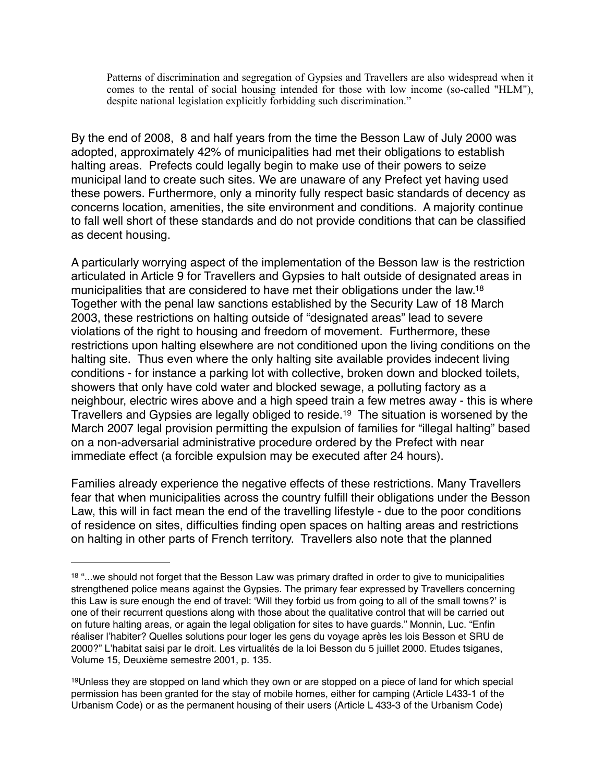Patterns of discrimination and segregation of Gypsies and Travellers are also widespread when it comes to the rental of social housing intended for those with low income (so-called "HLM"), despite national legislation explicitly forbidding such discrimination."

By the end of 2008, 8 and half years from the time the Besson Law of July 2000 was adopted, approximately 42% of municipalities had met their obligations to establish halting areas. Prefects could legally begin to make use of their powers to seize municipal land to create such sites. We are unaware of any Prefect yet having used these powers. Furthermore, only a minority fully respect basic standards of decency as concerns location, amenities, the site environment and conditions. A majority continue to fall well short of these standards and do not provide conditions that can be classified as decent housing.

A particularly worrying aspect of the implementation of the Besson law is the restriction articulated in Article 9 for Travellers and Gypsies to halt outside of designated areas in municipalities that are considered to have met their obligations under the law[.18](#page-9-0) Together with the penal law sanctions established by the Security Law of 18 March 2003, these restrictions on halting outside of "designated areas" lead to severe violations of the right to housing and freedom of movement. Furthermore, these restrictions upon halting elsewhere are not conditioned upon the living conditions on the halting site. Thus even where the only halting site available provides indecent living conditions - for instance a parking lot with collective, broken down and blocked toilets, showers that only have cold water and blocked sewage, a polluting factory as a neighbour, electric wires above and a high speed train a few metres away - this is where Travellers and Gypsies are legally obliged to reside[.19](#page-9-1) The situation is worsened by the March 2007 legal provision permitting the expulsion of families for "illegal halting" based on a non-adversarial administrative procedure ordered by the Prefect with near immediate effect (a forcible expulsion may be executed after 24 hours).

Families already experience the negative effects of these restrictions. Many Travellers fear that when municipalities across the country fulfill their obligations under the Besson Law, this will in fact mean the end of the travelling lifestyle - due to the poor conditions of residence on sites, difficulties finding open spaces on halting areas and restrictions on halting in other parts of French territory. Travellers also note that the planned

<span id="page-9-0"></span><sup>&</sup>lt;sup>18</sup> "...we should not forget that the Besson Law was primary drafted in order to give to municipalities strengthened police means against the Gypsies. The primary fear expressed by Travellers concerning this Law is sure enough the end of travel: ʻWill they forbid us from going to all of the small towns?' is one of their recurrent questions along with those about the qualitative control that will be carried out on future halting areas, or again the legal obligation for sites to have guards." Monnin, Luc. "Enfin réaliser l'habiter? Quelles solutions pour loger les gens du voyage après les lois Besson et SRU de 2000?" L'habitat saisi par le droit. Les virtualités de la loi Besson du 5 juillet 2000. Etudes tsiganes, Volume 15, Deuxième semestre 2001, p. 135.

<span id="page-9-1"></span><sup>19</sup>Unless they are stopped on land which they own or are stopped on a piece of land for which special permission has been granted for the stay of mobile homes, either for camping (Article L433-1 of the Urbanism Code) or as the permanent housing of their users (Article L 433-3 of the Urbanism Code)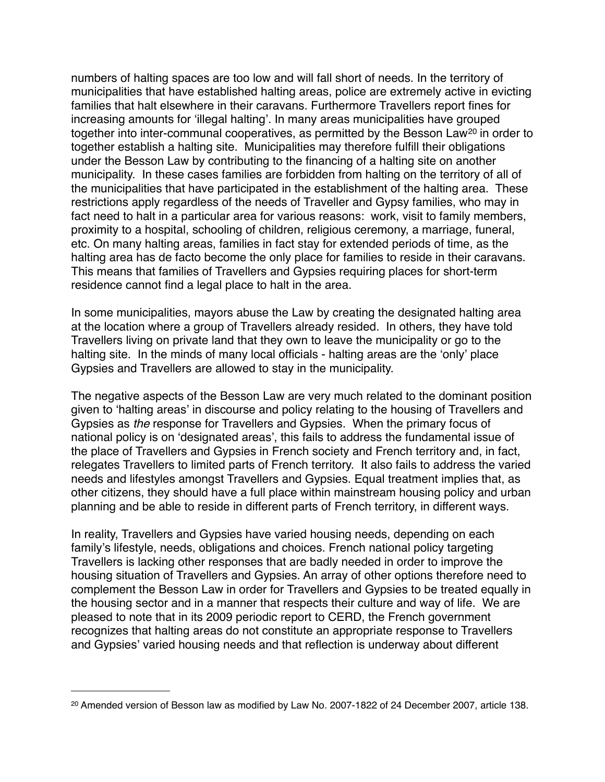numbers of halting spaces are too low and will fall short of needs. In the territory of municipalities that have established halting areas, police are extremely active in evicting families that halt elsewhere in their caravans. Furthermore Travellers report fines for increasing amounts for ʻillegal halting'. In many areas municipalities have grouped together into inter-communal cooperatives, as permitted by the Besson Law<sup>[20](#page-10-0)</sup> in order to together establish a halting site. Municipalities may therefore fulfill their obligations under the Besson Law by contributing to the financing of a halting site on another municipality. In these cases families are forbidden from halting on the territory of all of the municipalities that have participated in the establishment of the halting area. These restrictions apply regardless of the needs of Traveller and Gypsy families, who may in fact need to halt in a particular area for various reasons: work, visit to family members, proximity to a hospital, schooling of children, religious ceremony, a marriage, funeral, etc. On many halting areas, families in fact stay for extended periods of time, as the halting area has de facto become the only place for families to reside in their caravans. This means that families of Travellers and Gypsies requiring places for short-term residence cannot find a legal place to halt in the area.

In some municipalities, mayors abuse the Law by creating the designated halting area at the location where a group of Travellers already resided. In others, they have told Travellers living on private land that they own to leave the municipality or go to the halting site. In the minds of many local officials - halting areas are the ʻonly' place Gypsies and Travellers are allowed to stay in the municipality.

The negative aspects of the Besson Law are very much related to the dominant position given to ʻhalting areas' in discourse and policy relating to the housing of Travellers and Gypsies as *the* response for Travellers and Gypsies. When the primary focus of national policy is on ʻdesignated areas', this fails to address the fundamental issue of the place of Travellers and Gypsies in French society and French territory and, in fact, relegates Travellers to limited parts of French territory. It also fails to address the varied needs and lifestyles amongst Travellers and Gypsies. Equal treatment implies that, as other citizens, they should have a full place within mainstream housing policy and urban planning and be able to reside in different parts of French territory, in different ways.

In reality, Travellers and Gypsies have varied housing needs, depending on each family's lifestyle, needs, obligations and choices. French national policy targeting Travellers is lacking other responses that are badly needed in order to improve the housing situation of Travellers and Gypsies. An array of other options therefore need to complement the Besson Law in order for Travellers and Gypsies to be treated equally in the housing sector and in a manner that respects their culture and way of life. We are pleased to note that in its 2009 periodic report to CERD, the French government recognizes that halting areas do not constitute an appropriate response to Travellers and Gypsies' varied housing needs and that reflection is underway about different

<span id="page-10-0"></span><sup>20</sup> Amended version of Besson law as modified by Law No. 2007-1822 of 24 December 2007, article 138.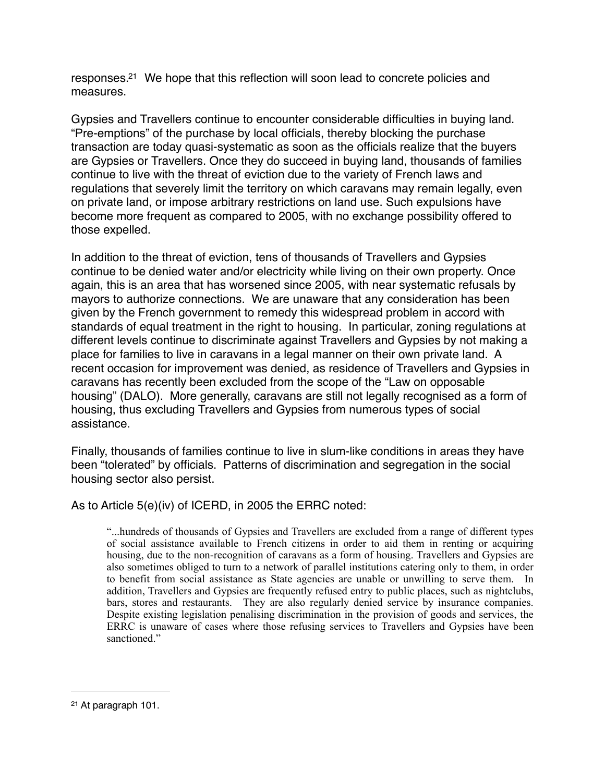responses[.21](#page-11-0) We hope that this reflection will soon lead to concrete policies and measures.

Gypsies and Travellers continue to encounter considerable difficulties in buying land. "Pre-emptions" of the purchase by local officials, thereby blocking the purchase transaction are today quasi-systematic as soon as the officials realize that the buyers are Gypsies or Travellers. Once they do succeed in buying land, thousands of families continue to live with the threat of eviction due to the variety of French laws and regulations that severely limit the territory on which caravans may remain legally, even on private land, or impose arbitrary restrictions on land use. Such expulsions have become more frequent as compared to 2005, with no exchange possibility offered to those expelled.

In addition to the threat of eviction, tens of thousands of Travellers and Gypsies continue to be denied water and/or electricity while living on their own property. Once again, this is an area that has worsened since 2005, with near systematic refusals by mayors to authorize connections. We are unaware that any consideration has been given by the French government to remedy this widespread problem in accord with standards of equal treatment in the right to housing. In particular, zoning regulations at different levels continue to discriminate against Travellers and Gypsies by not making a place for families to live in caravans in a legal manner on their own private land. A recent occasion for improvement was denied, as residence of Travellers and Gypsies in caravans has recently been excluded from the scope of the "Law on opposable housing" (DALO). More generally, caravans are still not legally recognised as a form of housing, thus excluding Travellers and Gypsies from numerous types of social assistance.

Finally, thousands of families continue to live in slum-like conditions in areas they have been "tolerated" by officials. Patterns of discrimination and segregation in the social housing sector also persist.

As to Article 5(e)(iv) of ICERD, in 2005 the ERRC noted:

 "...hundreds of thousands of Gypsies and Travellers are excluded from a range of different types of social assistance available to French citizens in order to aid them in renting or acquiring housing, due to the non-recognition of caravans as a form of housing. Travellers and Gypsies are also sometimes obliged to turn to a network of parallel institutions catering only to them, in order to benefit from social assistance as State agencies are unable or unwilling to serve them. In addition, Travellers and Gypsies are frequently refused entry to public places, such as nightclubs, bars, stores and restaurants. They are also regularly denied service by insurance companies. Despite existing legislation penalising discrimination in the provision of goods and services, the ERRC is unaware of cases where those refusing services to Travellers and Gypsies have been sanctioned."

<span id="page-11-0"></span><sup>21</sup> At paragraph 101.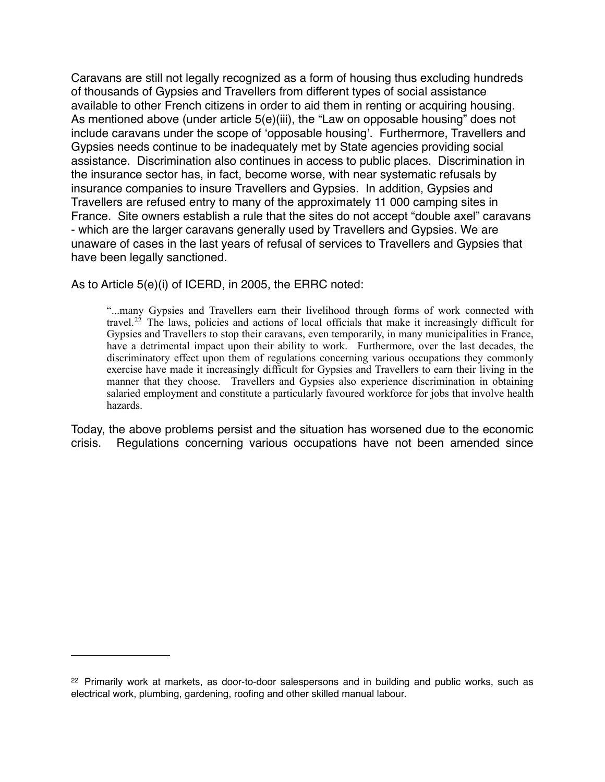Caravans are still not legally recognized as a form of housing thus excluding hundreds of thousands of Gypsies and Travellers from different types of social assistance available to other French citizens in order to aid them in renting or acquiring housing. As mentioned above (under article 5(e)(iii), the "Law on opposable housing" does not include caravans under the scope of ʻopposable housing'. Furthermore, Travellers and Gypsies needs continue to be inadequately met by State agencies providing social assistance. Discrimination also continues in access to public places. Discrimination in the insurance sector has, in fact, become worse, with near systematic refusals by insurance companies to insure Travellers and Gypsies. In addition, Gypsies and Travellers are refused entry to many of the approximately 11 000 camping sites in France. Site owners establish a rule that the sites do not accept "double axel" caravans - which are the larger caravans generally used by Travellers and Gypsies. We are unaware of cases in the last years of refusal of services to Travellers and Gypsies that have been legally sanctioned.

As to Article 5(e)(i) of ICERD, in 2005, the ERRC noted:

 "...many Gypsies and Travellers earn their livelihood through forms of work connected with travel.<sup>[22](#page-12-0)</sup> The laws, policies and actions of local officials that make it increasingly difficult for Gypsies and Travellers to stop their caravans, even temporarily, in many municipalities in France, have a detrimental impact upon their ability to work. Furthermore, over the last decades, the discriminatory effect upon them of regulations concerning various occupations they commonly exercise have made it increasingly difficult for Gypsies and Travellers to earn their living in the manner that they choose. Travellers and Gypsies also experience discrimination in obtaining salaried employment and constitute a particularly favoured workforce for jobs that involve health hazards.

Today, the above problems persist and the situation has worsened due to the economic crisis. Regulations concerning various occupations have not been amended since

<span id="page-12-0"></span> $22$  Primarily work at markets, as door-to-door salespersons and in building and public works, such as electrical work, plumbing, gardening, roofing and other skilled manual labour.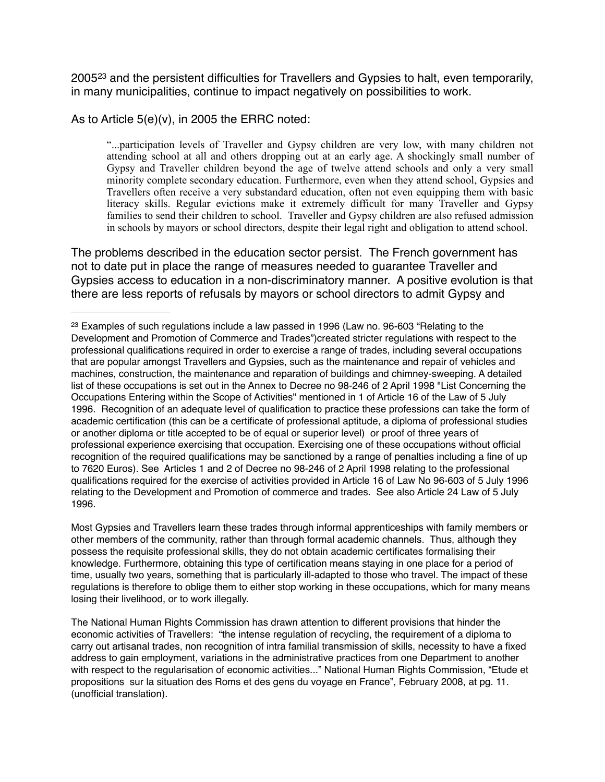2005[23](#page-13-0) and the persistent difficulties for Travellers and Gypsies to halt, even temporarily, in many municipalities, continue to impact negatively on possibilities to work.

As to Article 5(e)(v), in 2005 the ERRC noted:

 "...participation levels of Traveller and Gypsy children are very low, with many children not attending school at all and others dropping out at an early age. A shockingly small number of Gypsy and Traveller children beyond the age of twelve attend schools and only a very small minority complete secondary education. Furthermore, even when they attend school, Gypsies and Travellers often receive a very substandard education, often not even equipping them with basic literacy skills. Regular evictions make it extremely difficult for many Traveller and Gypsy families to send their children to school. Traveller and Gypsy children are also refused admission in schools by mayors or school directors, despite their legal right and obligation to attend school.

The problems described in the education sector persist. The French government has not to date put in place the range of measures needed to guarantee Traveller and Gypsies access to education in a non-discriminatory manner. A positive evolution is that there are less reports of refusals by mayors or school directors to admit Gypsy and

Most Gypsies and Travellers learn these trades through informal apprenticeships with family members or other members of the community, rather than through formal academic channels. Thus, although they possess the requisite professional skills, they do not obtain academic certificates formalising their knowledge. Furthermore, obtaining this type of certification means staying in one place for a period of time, usually two years, something that is particularly ill-adapted to those who travel. The impact of these regulations is therefore to oblige them to either stop working in these occupations, which for many means losing their livelihood, or to work illegally.

The National Human Rights Commission has drawn attention to different provisions that hinder the economic activities of Travellers: "the intense regulation of recycling, the requirement of a diploma to carry out artisanal trades, non recognition of intra familial transmission of skills, necessity to have a fixed address to gain employment, variations in the administrative practices from one Department to another with respect to the regularisation of economic activities..." National Human Rights Commission, "Etude et propositions sur la situation des Roms et des gens du voyage en France", February 2008, at pg. 11. (unofficial translation).

<span id="page-13-0"></span><sup>&</sup>lt;sup>23</sup> Examples of such regulations include a law passed in 1996 (Law no. 96-603 "Relating to the Development and Promotion of Commerce and Trades")created stricter regulations with respect to the professional qualifications required in order to exercise a range of trades, including several occupations that are popular amongst Travellers and Gypsies, such as the maintenance and repair of vehicles and machines, construction, the maintenance and reparation of buildings and chimney-sweeping. A detailed list of these occupations is set out in the Annex to Decree no 98-246 of 2 April 1998 "List Concerning the Occupations Entering within the Scope of Activities" mentioned in 1 of Article 16 of the Law of 5 July 1996. Recognition of an adequate level of qualification to practice these professions can take the form of academic certification (this can be a certificate of professional aptitude, a diploma of professional studies or another diploma or title accepted to be of equal or superior level) or proof of three years of professional experience exercising that occupation. Exercising one of these occupations without official recognition of the required qualifications may be sanctioned by a range of penalties including a fine of up to 7620 Euros). See Articles 1 and 2 of Decree no 98-246 of 2 April 1998 relating to the professional qualifications required for the exercise of activities provided in Article 16 of Law No 96-603 of 5 July 1996 relating to the Development and Promotion of commerce and trades. See also Article 24 Law of 5 July 1996.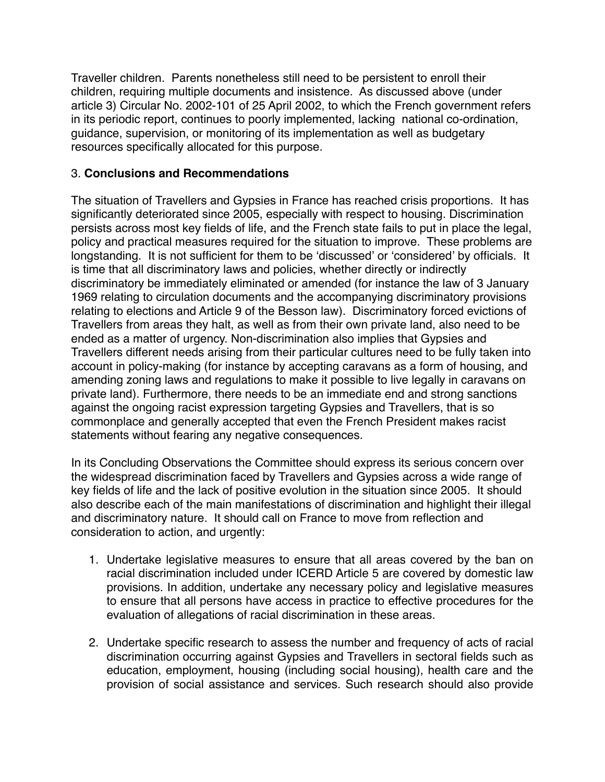Traveller children. Parents nonetheless still need to be persistent to enroll their children, requiring multiple documents and insistence. As discussed above (under article 3) Circular No. 2002-101 of 25 April 2002, to which the French government refers in its periodic report, continues to poorly implemented, lacking national co-ordination, guidance, supervision, or monitoring of its implementation as well as budgetary resources specifically allocated for this purpose.

# 3. **Conclusions and Recommendations**

The situation of Travellers and Gypsies in France has reached crisis proportions. It has significantly deteriorated since 2005, especially with respect to housing. Discrimination persists across most key fields of life, and the French state fails to put in place the legal, policy and practical measures required for the situation to improve. These problems are longstanding. It is not sufficient for them to be ʻdiscussed' or ʻconsidered' by officials. It is time that all discriminatory laws and policies, whether directly or indirectly discriminatory be immediately eliminated or amended (for instance the law of 3 January 1969 relating to circulation documents and the accompanying discriminatory provisions relating to elections and Article 9 of the Besson law). Discriminatory forced evictions of Travellers from areas they halt, as well as from their own private land, also need to be ended as a matter of urgency. Non-discrimination also implies that Gypsies and Travellers different needs arising from their particular cultures need to be fully taken into account in policy-making (for instance by accepting caravans as a form of housing, and amending zoning laws and regulations to make it possible to live legally in caravans on private land). Furthermore, there needs to be an immediate end and strong sanctions against the ongoing racist expression targeting Gypsies and Travellers, that is so commonplace and generally accepted that even the French President makes racist statements without fearing any negative consequences.

In its Concluding Observations the Committee should express its serious concern over the widespread discrimination faced by Travellers and Gypsies across a wide range of key fields of life and the lack of positive evolution in the situation since 2005. It should also describe each of the main manifestations of discrimination and highlight their illegal and discriminatory nature. It should call on France to move from reflection and consideration to action, and urgently:

- 1. Undertake legislative measures to ensure that all areas covered by the ban on racial discrimination included under ICERD Article 5 are covered by domestic law provisions. In addition, undertake any necessary policy and legislative measures to ensure that all persons have access in practice to effective procedures for the evaluation of allegations of racial discrimination in these areas.
- 2. Undertake specific research to assess the number and frequency of acts of racial discrimination occurring against Gypsies and Travellers in sectoral fields such as education, employment, housing (including social housing), health care and the provision of social assistance and services. Such research should also provide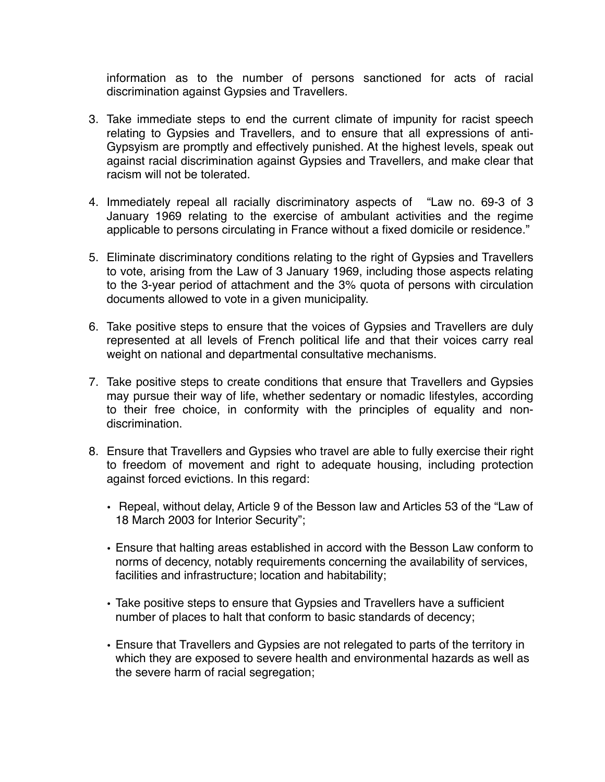information as to the number of persons sanctioned for acts of racial discrimination against Gypsies and Travellers.

- 3. Take immediate steps to end the current climate of impunity for racist speech relating to Gypsies and Travellers, and to ensure that all expressions of anti-Gypsyism are promptly and effectively punished. At the highest levels, speak out against racial discrimination against Gypsies and Travellers, and make clear that racism will not be tolerated.
- 4. Immediately repeal all racially discriminatory aspects of "Law no. 69-3 of 3 January 1969 relating to the exercise of ambulant activities and the regime applicable to persons circulating in France without a fixed domicile or residence."
- 5. Eliminate discriminatory conditions relating to the right of Gypsies and Travellers to vote, arising from the Law of 3 January 1969, including those aspects relating to the 3-year period of attachment and the 3% quota of persons with circulation documents allowed to vote in a given municipality.
- 6. Take positive steps to ensure that the voices of Gypsies and Travellers are duly represented at all levels of French political life and that their voices carry real weight on national and departmental consultative mechanisms.
- 7. Take positive steps to create conditions that ensure that Travellers and Gypsies may pursue their way of life, whether sedentary or nomadic lifestyles, according to their free choice, in conformity with the principles of equality and nondiscrimination.
- 8. Ensure that Travellers and Gypsies who travel are able to fully exercise their right to freedom of movement and right to adequate housing, including protection against forced evictions. In this regard:
	- Repeal, without delay, Article 9 of the Besson law and Articles 53 of the "Law of 18 March 2003 for Interior Security";
	- Ensure that halting areas established in accord with the Besson Law conform to norms of decency, notably requirements concerning the availability of services, facilities and infrastructure; location and habitability;
	- Take positive steps to ensure that Gypsies and Travellers have a sufficient number of places to halt that conform to basic standards of decency;
	- Ensure that Travellers and Gypsies are not relegated to parts of the territory in which they are exposed to severe health and environmental hazards as well as the severe harm of racial segregation;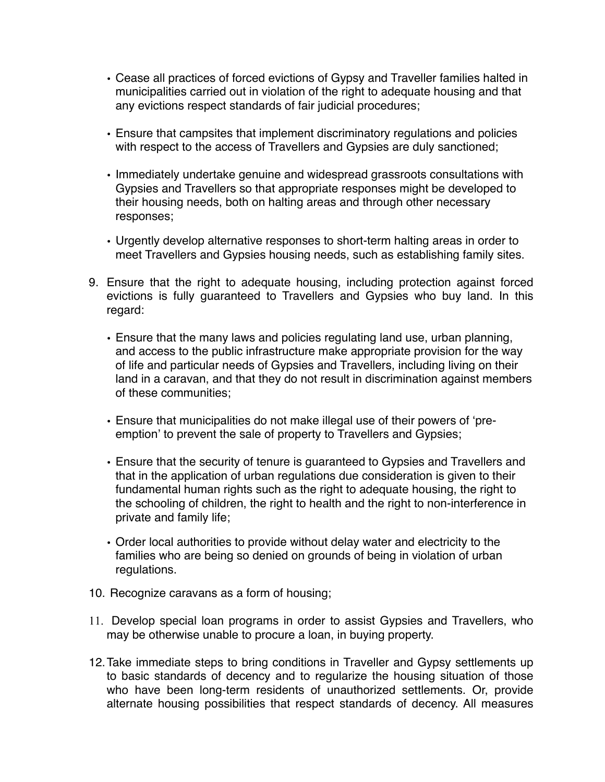- Cease all practices of forced evictions of Gypsy and Traveller families halted in municipalities carried out in violation of the right to adequate housing and that any evictions respect standards of fair judicial procedures;
- Ensure that campsites that implement discriminatory regulations and policies with respect to the access of Travellers and Gypsies are duly sanctioned;
- Immediately undertake genuine and widespread grassroots consultations with Gypsies and Travellers so that appropriate responses might be developed to their housing needs, both on halting areas and through other necessary responses;
- Urgently develop alternative responses to short-term halting areas in order to meet Travellers and Gypsies housing needs, such as establishing family sites.
- 9. Ensure that the right to adequate housing, including protection against forced evictions is fully guaranteed to Travellers and Gypsies who buy land. In this regard:
	- Ensure that the many laws and policies regulating land use, urban planning, and access to the public infrastructure make appropriate provision for the way of life and particular needs of Gypsies and Travellers, including living on their land in a caravan, and that they do not result in discrimination against members of these communities;
	- Ensure that municipalities do not make illegal use of their powers of ʻpreemption' to prevent the sale of property to Travellers and Gypsies;
	- Ensure that the security of tenure is guaranteed to Gypsies and Travellers and that in the application of urban regulations due consideration is given to their fundamental human rights such as the right to adequate housing, the right to the schooling of children, the right to health and the right to non-interference in private and family life;
	- Order local authorities to provide without delay water and electricity to the families who are being so denied on grounds of being in violation of urban regulations.
- 10. Recognize caravans as a form of housing;
- 11. Develop special loan programs in order to assist Gypsies and Travellers, who may be otherwise unable to procure a loan, in buying property.
- 12.Take immediate steps to bring conditions in Traveller and Gypsy settlements up to basic standards of decency and to regularize the housing situation of those who have been long-term residents of unauthorized settlements. Or, provide alternate housing possibilities that respect standards of decency. All measures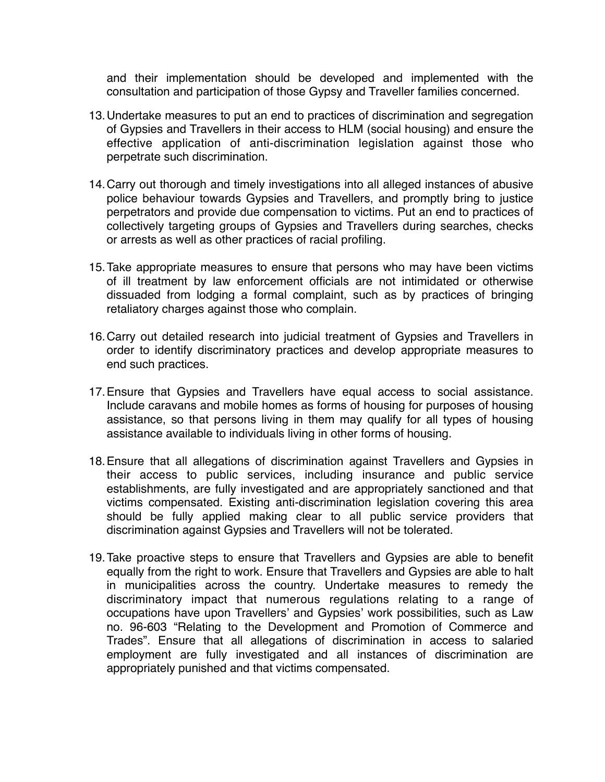and their implementation should be developed and implemented with the consultation and participation of those Gypsy and Traveller families concerned.

- 13.Undertake measures to put an end to practices of discrimination and segregation of Gypsies and Travellers in their access to HLM (social housing) and ensure the effective application of anti-discrimination legislation against those who perpetrate such discrimination.
- 14.Carry out thorough and timely investigations into all alleged instances of abusive police behaviour towards Gypsies and Travellers, and promptly bring to justice perpetrators and provide due compensation to victims. Put an end to practices of collectively targeting groups of Gypsies and Travellers during searches, checks or arrests as well as other practices of racial profiling.
- 15.Take appropriate measures to ensure that persons who may have been victims of ill treatment by law enforcement officials are not intimidated or otherwise dissuaded from lodging a formal complaint, such as by practices of bringing retaliatory charges against those who complain.
- 16.Carry out detailed research into judicial treatment of Gypsies and Travellers in order to identify discriminatory practices and develop appropriate measures to end such practices.
- 17.Ensure that Gypsies and Travellers have equal access to social assistance. Include caravans and mobile homes as forms of housing for purposes of housing assistance, so that persons living in them may qualify for all types of housing assistance available to individuals living in other forms of housing.
- 18.Ensure that all allegations of discrimination against Travellers and Gypsies in their access to public services, including insurance and public service establishments, are fully investigated and are appropriately sanctioned and that victims compensated. Existing anti-discrimination legislation covering this area should be fully applied making clear to all public service providers that discrimination against Gypsies and Travellers will not be tolerated.
- 19.Take proactive steps to ensure that Travellers and Gypsies are able to benefit equally from the right to work. Ensure that Travellers and Gypsies are able to halt in municipalities across the country. Undertake measures to remedy the discriminatory impact that numerous regulations relating to a range of occupations have upon Travellers' and Gypsies' work possibilities, such as Law no. 96-603 "Relating to the Development and Promotion of Commerce and Trades". Ensure that all allegations of discrimination in access to salaried employment are fully investigated and all instances of discrimination are appropriately punished and that victims compensated.